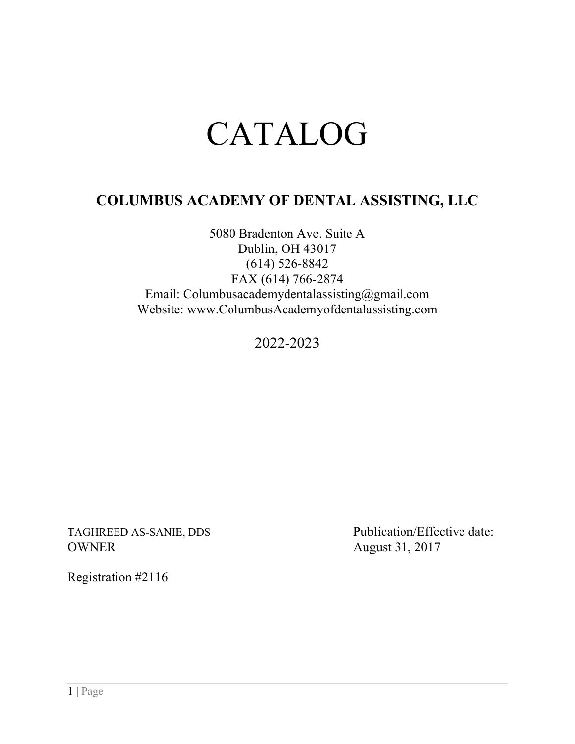# CATALOG

# **COLUMBUS ACADEMY OF DENTAL ASSISTING, LLC**

5080 Bradenton Ave. Suite A Dublin, OH 43017 (614) 526-8842 FAX (614) 766-2874 Email: Columbusacademydentalassisting@gmail.com Website: www.ColumbusAcademyofdentalassisting.com

2022-2023

TAGHREED AS-SANIE, DDS<br>
Publication/Effective date: OWNER August 31, 2017

Registration #2116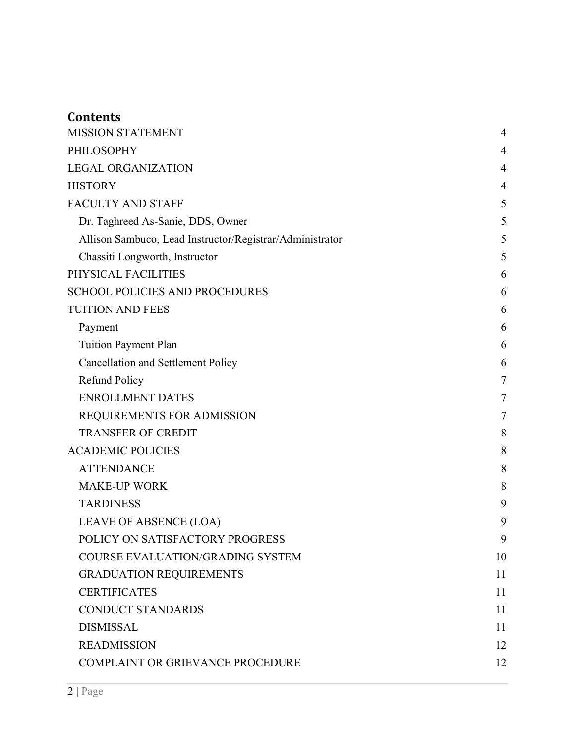# **Contents**

| <b>MISSION STATEMENT</b>                                 | $\overline{4}$ |
|----------------------------------------------------------|----------------|
| <b>PHILOSOPHY</b>                                        | 4              |
| <b>LEGAL ORGANIZATION</b>                                | 4              |
| <b>HISTORY</b>                                           | 4              |
| <b>FACULTY AND STAFF</b>                                 | 5              |
| Dr. Taghreed As-Sanie, DDS, Owner                        | 5              |
| Allison Sambuco, Lead Instructor/Registrar/Administrator | 5              |
| Chassiti Longworth, Instructor                           | 5              |
| PHYSICAL FACILITIES                                      | 6              |
| <b>SCHOOL POLICIES AND PROCEDURES</b>                    | 6              |
| <b>TUITION AND FEES</b>                                  | 6              |
| Payment                                                  | 6              |
| <b>Tuition Payment Plan</b>                              | 6              |
| Cancellation and Settlement Policy                       | 6              |
| <b>Refund Policy</b>                                     | 7              |
| <b>ENROLLMENT DATES</b>                                  | $\tau$         |
| REQUIREMENTS FOR ADMISSION                               | 7              |
| <b>TRANSFER OF CREDIT</b>                                | 8              |
| <b>ACADEMIC POLICIES</b>                                 | 8              |
| <b>ATTENDANCE</b>                                        | 8              |
| <b>MAKE-UP WORK</b>                                      | 8              |
| <b>TARDINESS</b>                                         | 9              |
| LEAVE OF ABSENCE (LOA)                                   | 9              |
| POLICY ON SATISFACTORY PROGRESS                          | 9              |
| <b>COURSE EVALUATION/GRADING SYSTEM</b>                  | 10             |
| <b>GRADUATION REQUIREMENTS</b>                           | 11             |
| <b>CERTIFICATES</b>                                      | 11             |
| <b>CONDUCT STANDARDS</b>                                 | 11             |
| <b>DISMISSAL</b>                                         | 11             |
| <b>READMISSION</b>                                       | 12             |
| <b>COMPLAINT OR GRIEVANCE PROCEDURE</b>                  | 12             |
|                                                          |                |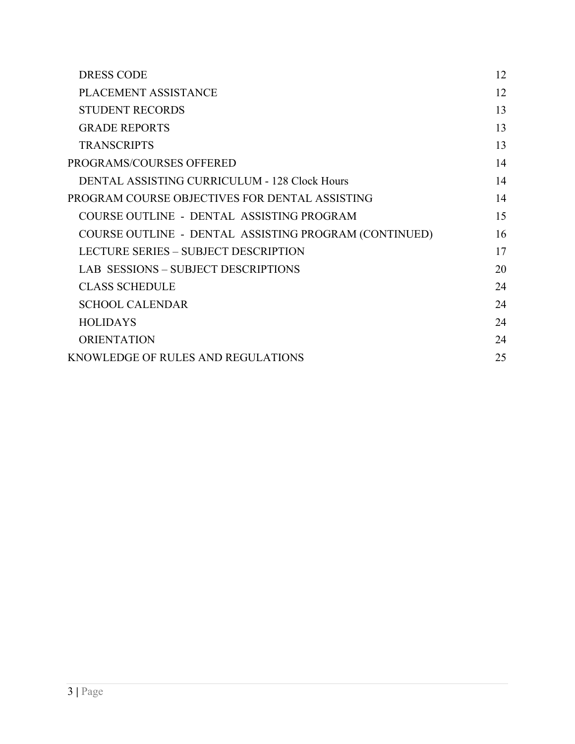| 12 |
|----|
| 12 |
| 13 |
| 13 |
| 13 |
| 14 |
| 14 |
| 14 |
| 15 |
| 16 |
| 17 |
| 20 |
| 24 |
| 24 |
| 24 |
| 24 |
| 25 |
|    |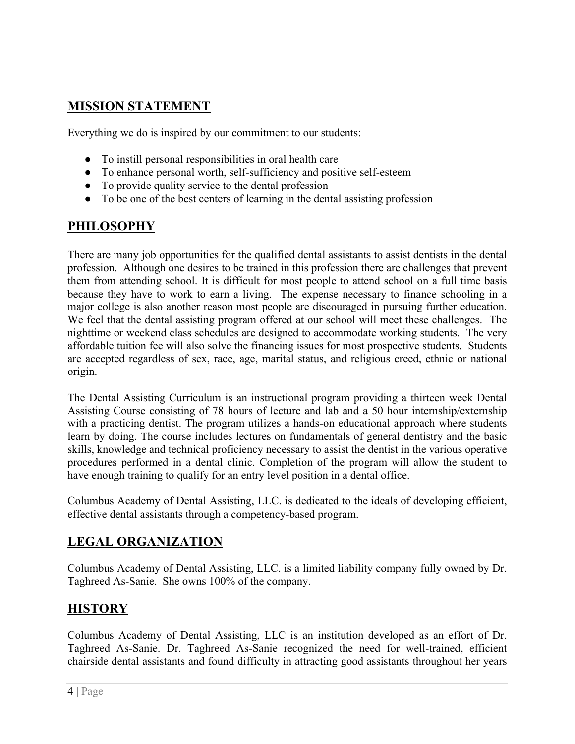# **MISSION STATEMENT**

Everything we do is inspired by our commitment to our students:

- To instill personal responsibilities in oral health care
- To enhance personal worth, self-sufficiency and positive self-esteem
- To provide quality service to the dental profession
- To be one of the best centers of learning in the dental assisting profession

# **PHILOSOPHY**

There are many job opportunities for the qualified dental assistants to assist dentists in the dental profession. Although one desires to be trained in this profession there are challenges that prevent them from attending school. It is difficult for most people to attend school on a full time basis because they have to work to earn a living. The expense necessary to finance schooling in a major college is also another reason most people are discouraged in pursuing further education. We feel that the dental assisting program offered at our school will meet these challenges. The nighttime or weekend class schedules are designed to accommodate working students. The very affordable tuition fee will also solve the financing issues for most prospective students. Students are accepted regardless of sex, race, age, marital status, and religious creed, ethnic or national origin.

The Dental Assisting Curriculum is an instructional program providing a thirteen week Dental Assisting Course consisting of 78 hours of lecture and lab and a 50 hour internship/externship with a practicing dentist. The program utilizes a hands-on educational approach where students learn by doing. The course includes lectures on fundamentals of general dentistry and the basic skills, knowledge and technical proficiency necessary to assist the dentist in the various operative procedures performed in a dental clinic. Completion of the program will allow the student to have enough training to qualify for an entry level position in a dental office.

Columbus Academy of Dental Assisting, LLC. is dedicated to the ideals of developing efficient, effective dental assistants through a competency-based program.

# **LEGAL ORGANIZATION**

Columbus Academy of Dental Assisting, LLC. is a limited liability company fully owned by Dr. Taghreed As-Sanie. She owns 100% of the company.

# **HISTORY**

Columbus Academy of Dental Assisting, LLC is an institution developed as an effort of Dr. Taghreed As-Sanie. Dr. Taghreed As-Sanie recognized the need for well-trained, efficient chairside dental assistants and found difficulty in attracting good assistants throughout her years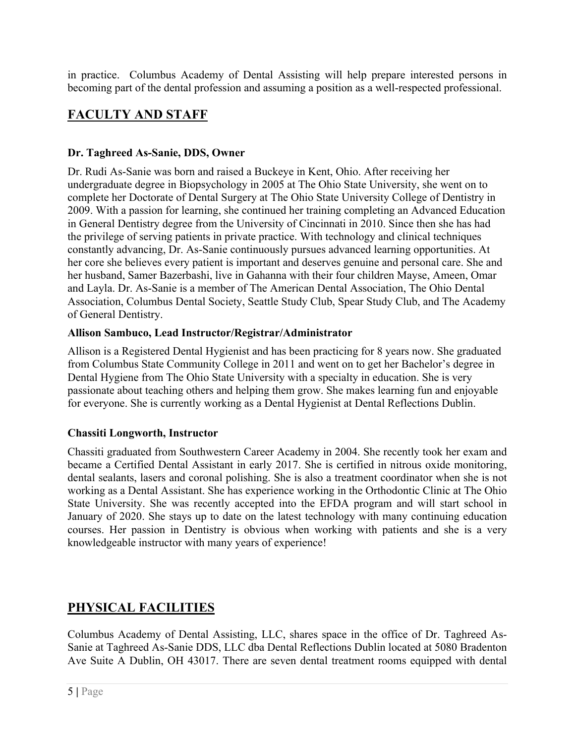in practice. Columbus Academy of Dental Assisting will help prepare interested persons in becoming part of the dental profession and assuming a position as a well-respected professional.

# **FACULTY AND STAFF**

# **Dr. Taghreed As-Sanie, DDS, Owner**

Dr. Rudi As-Sanie was born and raised a Buckeye in Kent, Ohio. After receiving her undergraduate degree in Biopsychology in 2005 at The Ohio State University, she went on to complete her Doctorate of Dental Surgery at The Ohio State University College of Dentistry in 2009. With a passion for learning, she continued her training completing an Advanced Education in General Dentistry degree from the University of Cincinnati in 2010. Since then she has had the privilege of serving patients in private practice. With technology and clinical techniques constantly advancing, Dr. As-Sanie continuously pursues advanced learning opportunities. At her core she believes every patient is important and deserves genuine and personal care. She and her husband, Samer Bazerbashi, live in Gahanna with their four children Mayse, Ameen, Omar and Layla. Dr. As-Sanie is a member of The American Dental Association, The Ohio Dental Association, Columbus Dental Society, Seattle Study Club, Spear Study Club, and The Academy of General Dentistry.

# **Allison Sambuco, Lead Instructor/Registrar/Administrator**

Allison is a Registered Dental Hygienist and has been practicing for 8 years now. She graduated from Columbus State Community College in 2011 and went on to get her Bachelor's degree in Dental Hygiene from The Ohio State University with a specialty in education. She is very passionate about teaching others and helping them grow. She makes learning fun and enjoyable for everyone. She is currently working as a Dental Hygienist at Dental Reflections Dublin.

# **Chassiti Longworth, Instructor**

Chassiti graduated from Southwestern Career Academy in 2004. She recently took her exam and became a Certified Dental Assistant in early 2017. She is certified in nitrous oxide monitoring, dental sealants, lasers and coronal polishing. She is also a treatment coordinator when she is not working as a Dental Assistant. She has experience working in the Orthodontic Clinic at The Ohio State University. She was recently accepted into the EFDA program and will start school in January of 2020. She stays up to date on the latest technology with many continuing education courses. Her passion in Dentistry is obvious when working with patients and she is a very knowledgeable instructor with many years of experience!

# **PHYSICAL FACILITIES**

Columbus Academy of Dental Assisting, LLC, shares space in the office of Dr. Taghreed As-Sanie at Taghreed As-Sanie DDS, LLC dba Dental Reflections Dublin located at 5080 Bradenton Ave Suite A Dublin, OH 43017. There are seven dental treatment rooms equipped with dental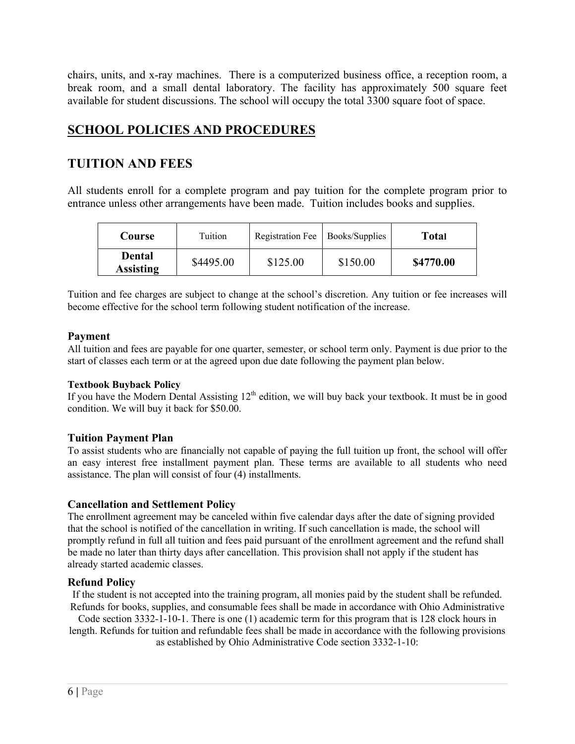chairs, units, and x-ray machines. There is a computerized business office, a reception room, a break room, and a small dental laboratory. The facility has approximately 500 square feet available for student discussions. The school will occupy the total 3300 square foot of space.

# **SCHOOL POLICIES AND PROCEDURES**

# **TUITION AND FEES**

All students enroll for a complete program and pay tuition for the complete program prior to entrance unless other arrangements have been made. Tuition includes books and supplies.

| <b>Course</b>              | Tuition   | Registration Fee   Books/Supplies |          | Total     |
|----------------------------|-----------|-----------------------------------|----------|-----------|
| Dental<br><b>Assisting</b> | \$4495.00 | \$125.00                          | \$150.00 | \$4770.00 |

Tuition and fee charges are subject to change at the school's discretion. Any tuition or fee increases will become effective for the school term following student notification of the increase.

#### **Payment**

All tuition and fees are payable for one quarter, semester, or school term only. Payment is due prior to the start of classes each term or at the agreed upon due date following the payment plan below.

#### **Textbook Buyback Policy**

If you have the Modern Dental Assisting  $12<sup>th</sup>$  edition, we will buy back your textbook. It must be in good condition. We will buy it back for \$50.00.

#### **Tuition Payment Plan**

To assist students who are financially not capable of paying the full tuition up front, the school will offer an easy interest free installment payment plan. These terms are available to all students who need assistance. The plan will consist of four (4) installments.

#### **Cancellation and Settlement Policy**

The enrollment agreement may be canceled within five calendar days after the date of signing provided that the school is notified of the cancellation in writing. If such cancellation is made, the school will promptly refund in full all tuition and fees paid pursuant of the enrollment agreement and the refund shall be made no later than thirty days after cancellation. This provision shall not apply if the student has already started academic classes.

#### **Refund Policy**

If the student is not accepted into the training program, all monies paid by the student shall be refunded. Refunds for books, supplies, and consumable fees shall be made in accordance with Ohio Administrative

Code section 3332-1-10-1. There is one (1) academic term for this program that is 128 clock hours in length. Refunds for tuition and refundable fees shall be made in accordance with the following provisions

as established by Ohio Administrative Code section 3332-1-10: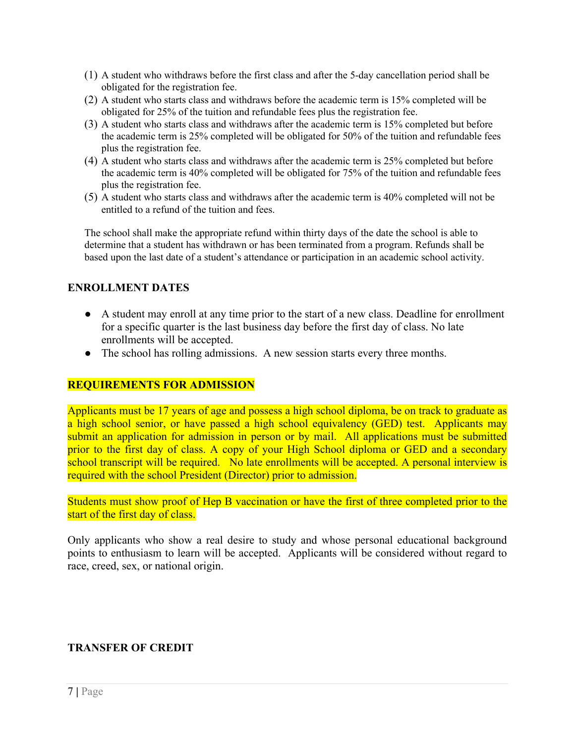- (1) A student who withdraws before the first class and after the 5-day cancellation period shall be obligated for the registration fee.
- (2) A student who starts class and withdraws before the academic term is 15% completed will be obligated for 25% of the tuition and refundable fees plus the registration fee.
- (3) A student who starts class and withdraws after the academic term is 15% completed but before the academic term is 25% completed will be obligated for 50% of the tuition and refundable fees plus the registration fee.
- (4) A student who starts class and withdraws after the academic term is 25% completed but before the academic term is 40% completed will be obligated for 75% of the tuition and refundable fees plus the registration fee.
- (5) A student who starts class and withdraws after the academic term is 40% completed will not be entitled to a refund of the tuition and fees.

The school shall make the appropriate refund within thirty days of the date the school is able to determine that a student has withdrawn or has been terminated from a program. Refunds shall be based upon the last date of a student's attendance or participation in an academic school activity.

#### **ENROLLMENT DATES**

- A student may enroll at any time prior to the start of a new class. Deadline for enrollment for a specific quarter is the last business day before the first day of class. No late enrollments will be accepted.
- The school has rolling admissions. A new session starts every three months.

#### **REQUIREMENTS FOR ADMISSION**

Applicants must be 17 years of age and possess a high school diploma, be on track to graduate as a high school senior, or have passed a high school equivalency (GED) test. Applicants may submit an application for admission in person or by mail. All applications must be submitted prior to the first day of class. A copy of your High School diploma or GED and a secondary school transcript will be required. No late enrollments will be accepted. A personal interview is required with the school President (Director) prior to admission.

Students must show proof of Hep B vaccination or have the first of three completed prior to the start of the first day of class.

Only applicants who show a real desire to study and whose personal educational background points to enthusiasm to learn will be accepted. Applicants will be considered without regard to race, creed, sex, or national origin.

#### **TRANSFER OF CREDIT**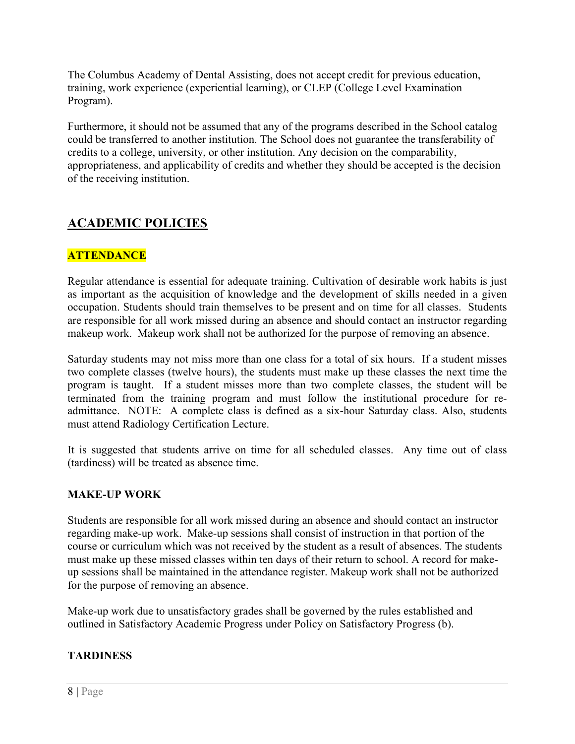The Columbus Academy of Dental Assisting, does not accept credit for previous education, training, work experience (experiential learning), or CLEP (College Level Examination Program).

Furthermore, it should not be assumed that any of the programs described in the School catalog could be transferred to another institution. The School does not guarantee the transferability of credits to a college, university, or other institution. Any decision on the comparability, appropriateness, and applicability of credits and whether they should be accepted is the decision of the receiving institution.

# **ACADEMIC POLICIES**

# **ATTENDANCE**

Regular attendance is essential for adequate training. Cultivation of desirable work habits is just as important as the acquisition of knowledge and the development of skills needed in a given occupation. Students should train themselves to be present and on time for all classes. Students are responsible for all work missed during an absence and should contact an instructor regarding makeup work. Makeup work shall not be authorized for the purpose of removing an absence.

Saturday students may not miss more than one class for a total of six hours. If a student misses two complete classes (twelve hours), the students must make up these classes the next time the program is taught. If a student misses more than two complete classes, the student will be terminated from the training program and must follow the institutional procedure for readmittance. NOTE: A complete class is defined as a six-hour Saturday class. Also, students must attend Radiology Certification Lecture.

It is suggested that students arrive on time for all scheduled classes. Any time out of class (tardiness) will be treated as absence time.

# **MAKE-UP WORK**

Students are responsible for all work missed during an absence and should contact an instructor regarding make-up work. Make-up sessions shall consist of instruction in that portion of the course or curriculum which was not received by the student as a result of absences. The students must make up these missed classes within ten days of their return to school. A record for makeup sessions shall be maintained in the attendance register. Makeup work shall not be authorized for the purpose of removing an absence.

Make-up work due to unsatisfactory grades shall be governed by the rules established and outlined in Satisfactory Academic Progress under Policy on Satisfactory Progress (b).

# **TARDINESS**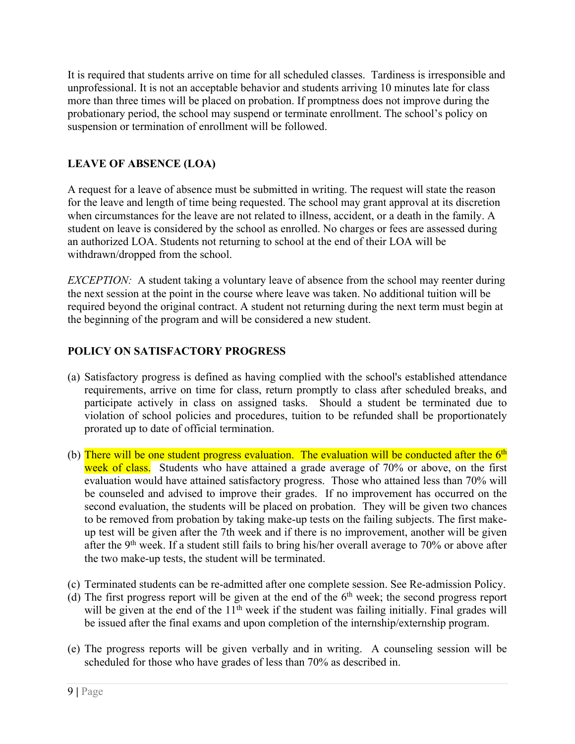It is required that students arrive on time for all scheduled classes. Tardiness is irresponsible and unprofessional. It is not an acceptable behavior and students arriving 10 minutes late for class more than three times will be placed on probation. If promptness does not improve during the probationary period, the school may suspend or terminate enrollment. The school's policy on suspension or termination of enrollment will be followed.

# **LEAVE OF ABSENCE (LOA)**

A request for a leave of absence must be submitted in writing. The request will state the reason for the leave and length of time being requested. The school may grant approval at its discretion when circumstances for the leave are not related to illness, accident, or a death in the family. A student on leave is considered by the school as enrolled. No charges or fees are assessed during an authorized LOA. Students not returning to school at the end of their LOA will be withdrawn/dropped from the school.

*EXCEPTION:* A student taking a voluntary leave of absence from the school may reenter during the next session at the point in the course where leave was taken. No additional tuition will be required beyond the original contract. A student not returning during the next term must begin at the beginning of the program and will be considered a new student.

# **POLICY ON SATISFACTORY PROGRESS**

- (a) Satisfactory progress is defined as having complied with the school's established attendance requirements, arrive on time for class, return promptly to class after scheduled breaks, and participate actively in class on assigned tasks. Should a student be terminated due to violation of school policies and procedures, tuition to be refunded shall be proportionately prorated up to date of official termination.
- (b) There will be one student progress evaluation. The evaluation will be conducted after the  $6<sup>th</sup>$ week of class. Students who have attained a grade average of 70% or above, on the first evaluation would have attained satisfactory progress. Those who attained less than 70% will be counseled and advised to improve their grades. If no improvement has occurred on the second evaluation, the students will be placed on probation. They will be given two chances to be removed from probation by taking make-up tests on the failing subjects. The first makeup test will be given after the 7th week and if there is no improvement, another will be given after the 9<sup>th</sup> week. If a student still fails to bring his/her overall average to 70% or above after the two make-up tests, the student will be terminated.
- (c) Terminated students can be re-admitted after one complete session. See Re-admission Policy.
- (d) The first progress report will be given at the end of the  $6<sup>th</sup>$  week; the second progress report will be given at the end of the  $11<sup>th</sup>$  week if the student was failing initially. Final grades will be issued after the final exams and upon completion of the internship/externship program.
- (e) The progress reports will be given verbally and in writing. A counseling session will be scheduled for those who have grades of less than 70% as described in.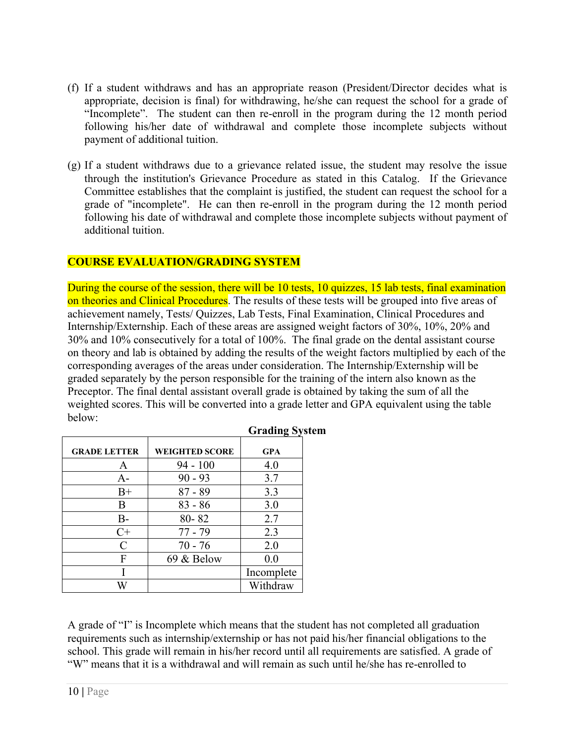- (f) If a student withdraws and has an appropriate reason (President/Director decides what is appropriate, decision is final) for withdrawing, he/she can request the school for a grade of "Incomplete". The student can then re-enroll in the program during the 12 month period following his/her date of withdrawal and complete those incomplete subjects without payment of additional tuition.
- (g) If a student withdraws due to a grievance related issue, the student may resolve the issue through the institution's Grievance Procedure as stated in this Catalog. If the Grievance Committee establishes that the complaint is justified, the student can request the school for a grade of "incomplete". He can then re-enroll in the program during the 12 month period following his date of withdrawal and complete those incomplete subjects without payment of additional tuition.

# **COURSE EVALUATION/GRADING SYSTEM**

During the course of the session, there will be 10 tests, 10 quizzes, 15 lab tests, final examination on theories and Clinical Procedures. The results of these tests will be grouped into five areas of achievement namely, Tests/ Quizzes, Lab Tests, Final Examination, Clinical Procedures and Internship/Externship. Each of these areas are assigned weight factors of 30%, 10%, 20% and 30% and 10% consecutively for a total of 100%. The final grade on the dental assistant course on theory and lab is obtained by adding the results of the weight factors multiplied by each of the corresponding averages of the areas under consideration. The Internship/Externship will be graded separately by the person responsible for the training of the intern also known as the Preceptor. The final dental assistant overall grade is obtained by taking the sum of all the weighted scores. This will be converted into a grade letter and GPA equivalent using the table below:

| <b>GRADE LETTER</b> | <b>WEIGHTED SCORE</b> | <b>GPA</b> |
|---------------------|-----------------------|------------|
|                     |                       |            |
| A                   | $94 - 100$            | 4.0        |
| $A-$                | $90 - 93$             | 3.7        |
| $B+$                | $87 - 89$             | 3.3        |
| B                   | $83 - 86$             | 3.0        |
| <b>B-</b>           | 80-82                 | 2.7        |
| $C+$                | $77 - 79$             | 2.3        |
| $\mathcal{C}_{0}$   | $70 - 76$             | 2.0        |
| F                   | 69 & Below            | 0.0        |
|                     |                       | Incomplete |
|                     |                       | Withdraw   |

#### **Grading System**

A grade of "I" is Incomplete which means that the student has not completed all graduation requirements such as internship/externship or has not paid his/her financial obligations to the school. This grade will remain in his/her record until all requirements are satisfied. A grade of "W" means that it is a withdrawal and will remain as such until he/she has re-enrolled to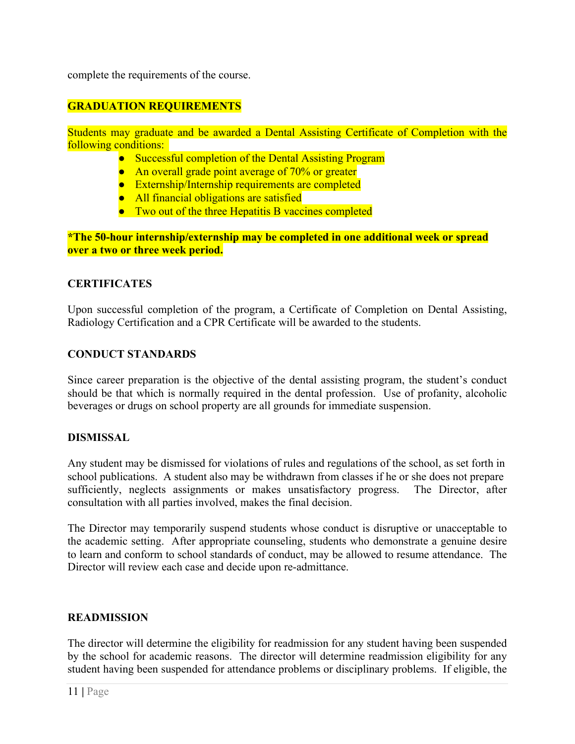complete the requirements of the course.

# **GRADUATION REQUIREMENTS**

Students may graduate and be awarded a Dental Assisting Certificate of Completion with the following conditions:

- Successful completion of the Dental Assisting Program
- An overall grade point average of 70% or greater
- Externship/Internship requirements are completed
- All financial obligations are satisfied
- Two out of the three Hepatitis B vaccines completed

**\*The 50-hour internship/externship may be completed in one additional week or spread over a two or three week period.**

#### **CERTIFICATES**

Upon successful completion of the program, a Certificate of Completion on Dental Assisting, Radiology Certification and a CPR Certificate will be awarded to the students.

#### **CONDUCT STANDARDS**

Since career preparation is the objective of the dental assisting program, the student's conduct should be that which is normally required in the dental profession. Use of profanity, alcoholic beverages or drugs on school property are all grounds for immediate suspension.

#### **DISMISSAL**

Any student may be dismissed for violations of rules and regulations of the school, as set forth in school publications. A student also may be withdrawn from classes if he or she does not prepare sufficiently, neglects assignments or makes unsatisfactory progress. The Director, after consultation with all parties involved, makes the final decision.

The Director may temporarily suspend students whose conduct is disruptive or unacceptable to the academic setting. After appropriate counseling, students who demonstrate a genuine desire to learn and conform to school standards of conduct, may be allowed to resume attendance. The Director will review each case and decide upon re-admittance.

#### **READMISSION**

The director will determine the eligibility for readmission for any student having been suspended by the school for academic reasons. The director will determine readmission eligibility for any student having been suspended for attendance problems or disciplinary problems. If eligible, the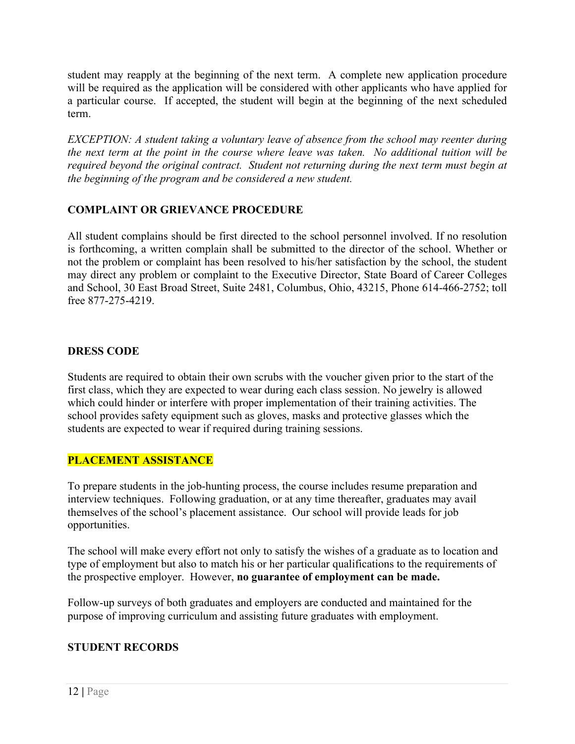student may reapply at the beginning of the next term. A complete new application procedure will be required as the application will be considered with other applicants who have applied for a particular course. If accepted, the student will begin at the beginning of the next scheduled term.

*EXCEPTION: A student taking a voluntary leave of absence from the school may reenter during the next term at the point in the course where leave was taken. No additional tuition will be required beyond the original contract. Student not returning during the next term must begin at the beginning of the program and be considered a new student.*

# **COMPLAINT OR GRIEVANCE PROCEDURE**

All student complains should be first directed to the school personnel involved. If no resolution is forthcoming, a written complain shall be submitted to the director of the school. Whether or not the problem or complaint has been resolved to his/her satisfaction by the school, the student may direct any problem or complaint to the Executive Director, State Board of Career Colleges and School, 30 East Broad Street, Suite 2481, Columbus, Ohio, 43215, Phone 614-466-2752; toll free 877-275-4219.

# **DRESS CODE**

Students are required to obtain their own scrubs with the voucher given prior to the start of the first class, which they are expected to wear during each class session. No jewelry is allowed which could hinder or interfere with proper implementation of their training activities. The school provides safety equipment such as gloves, masks and protective glasses which the students are expected to wear if required during training sessions.

# **PLACEMENT ASSISTANCE**

To prepare students in the job-hunting process, the course includes resume preparation and interview techniques. Following graduation, or at any time thereafter, graduates may avail themselves of the school's placement assistance. Our school will provide leads for job opportunities.

The school will make every effort not only to satisfy the wishes of a graduate as to location and type of employment but also to match his or her particular qualifications to the requirements of the prospective employer. However, **no guarantee of employment can be made.**

Follow-up surveys of both graduates and employers are conducted and maintained for the purpose of improving curriculum and assisting future graduates with employment.

# **STUDENT RECORDS**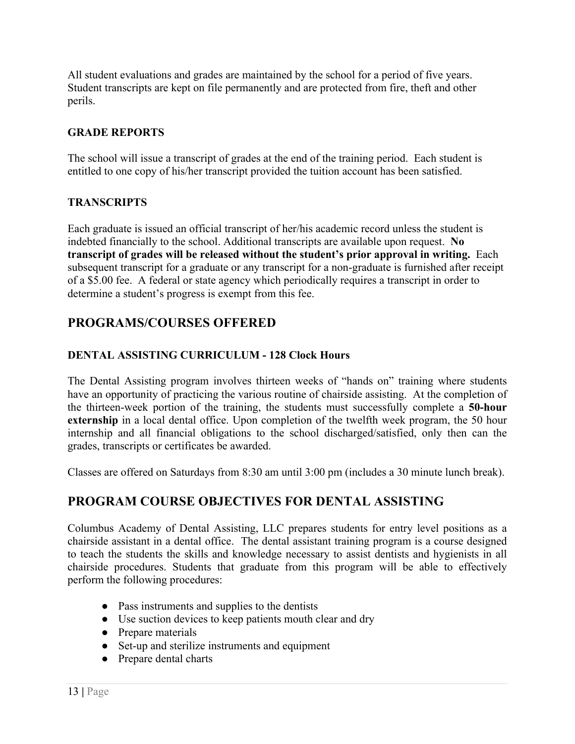All student evaluations and grades are maintained by the school for a period of five years. Student transcripts are kept on file permanently and are protected from fire, theft and other perils.

# **GRADE REPORTS**

The school will issue a transcript of grades at the end of the training period. Each student is entitled to one copy of his/her transcript provided the tuition account has been satisfied.

# **TRANSCRIPTS**

Each graduate is issued an official transcript of her/his academic record unless the student is indebted financially to the school. Additional transcripts are available upon request. **No transcript of grades will be released without the student's prior approval in writing.** Each subsequent transcript for a graduate or any transcript for a non-graduate is furnished after receipt of a \$5.00 fee. A federal or state agency which periodically requires a transcript in order to determine a student's progress is exempt from this fee.

# **PROGRAMS/COURSES OFFERED**

# **DENTAL ASSISTING CURRICULUM - 128 Clock Hours**

The Dental Assisting program involves thirteen weeks of "hands on" training where students have an opportunity of practicing the various routine of chairside assisting. At the completion of the thirteen-week portion of the training, the students must successfully complete a **50-hour externship** in a local dental office. Upon completion of the twelfth week program, the 50 hour internship and all financial obligations to the school discharged/satisfied, only then can the grades, transcripts or certificates be awarded.

Classes are offered on Saturdays from 8:30 am until 3:00 pm (includes a 30 minute lunch break).

# **PROGRAM COURSE OBJECTIVES FOR DENTAL ASSISTING**

Columbus Academy of Dental Assisting, LLC prepares students for entry level positions as a chairside assistant in a dental office. The dental assistant training program is a course designed to teach the students the skills and knowledge necessary to assist dentists and hygienists in all chairside procedures. Students that graduate from this program will be able to effectively perform the following procedures:

- Pass instruments and supplies to the dentists
- Use suction devices to keep patients mouth clear and dry
- Prepare materials
- Set-up and sterilize instruments and equipment
- Prepare dental charts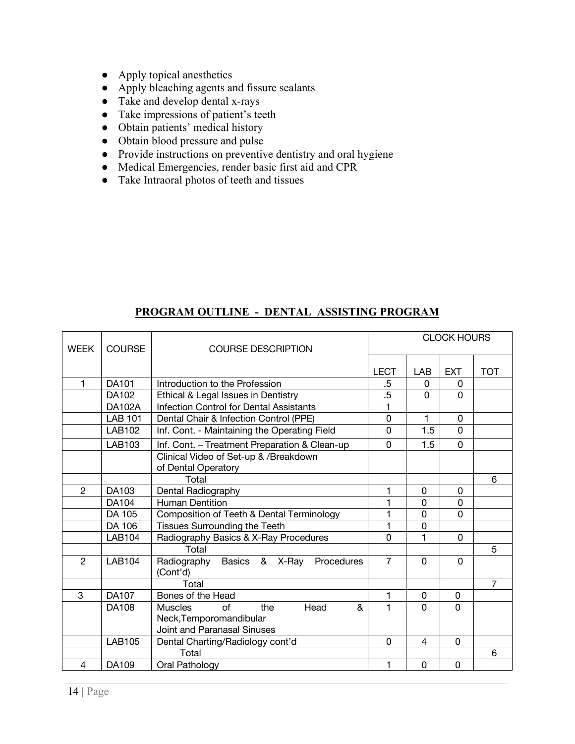- Apply topical anesthetics
- Apply bleaching agents and fissure sealants
- Take and develop dental x-rays
- Take impressions of patient's teeth
- Obtain patients' medical history
- Obtain blood pressure and pulse
- Provide instructions on preventive dentistry and oral hygiene
- Medical Emergencies, render basic first aid and CPR
- Take Intraoral photos of teeth and tissues

#### **PROGRAM OUTLINE - DENTAL ASSISTING PROGRAM**

| <b>WEEK</b>    | <b>COURSE</b>  | <b>COURSE DESCRIPTION</b>                                    | <b>CLOCK HOURS</b> |                |             |                |
|----------------|----------------|--------------------------------------------------------------|--------------------|----------------|-------------|----------------|
|                |                |                                                              | <b>LECT</b>        | LAB            | <b>EXT</b>  | <b>TOT</b>     |
| 1              | DA101          | Introduction to the Profession                               | .5                 | 0              | 0           |                |
|                | DA102          | Ethical & Legal Issues in Dentistry                          | .5                 | $\Omega$       | $\Omega$    |                |
|                | <b>DA102A</b>  | <b>Infection Control for Dental Assistants</b>               | 1                  |                |             |                |
|                | <b>LAB 101</b> | Dental Chair & Infection Control (PPE)                       | 0                  | 1              | 0           |                |
|                | <b>LAB102</b>  | Inf. Cont. - Maintaining the Operating Field                 | $\overline{0}$     | 1.5            | 0           |                |
|                | <b>LAB103</b>  | Inf. Cont. - Treatment Preparation & Clean-up                | 0                  | 1.5            | $\mathbf 0$ |                |
|                |                | Clinical Video of Set-up & /Breakdown<br>of Dental Operatory |                    |                |             |                |
|                |                | Total                                                        |                    |                |             | 6              |
| $\overline{2}$ | DA103          | Dental Radiography                                           | 1                  | $\mathbf{0}$   | 0           |                |
|                | DA104          | <b>Human Dentition</b>                                       | 1                  | 0              | 0           |                |
|                | DA 105         | Composition of Teeth & Dental Terminology                    | 1                  | 0              | 0           |                |
|                | DA 106         | <b>Tissues Surrounding the Teeth</b>                         | 1                  | 0              |             |                |
|                | <b>LAB104</b>  | Radiography Basics & X-Ray Procedures                        | $\Omega$           | 1              | 0           |                |
|                |                | Total                                                        |                    |                |             | 5              |
| $\overline{2}$ | LAB104         | Radiography Basics & X-Ray<br>Procedures<br>(Cont'd)         | $\overline{7}$     | $\Omega$       | $\Omega$    |                |
|                |                | Total                                                        |                    |                |             | $\overline{7}$ |
| 3              | DA107          | Bones of the Head                                            | 1                  | 0              | 0           |                |
|                | DA108          | <b>Muscles</b><br>$\alpha$ f<br>the<br>Head<br>&             | 1                  | $\Omega$       | $\Omega$    |                |
|                |                | Neck, Temporomandibular                                      |                    |                |             |                |
|                |                | Joint and Paranasal Sinuses                                  |                    |                |             |                |
|                | <b>LAB105</b>  | Dental Charting/Radiology cont'd                             | 0                  | $\overline{4}$ | 0           |                |
|                |                | Total                                                        |                    |                |             | 6              |
| 4              | DA109          | Oral Pathology                                               | 1                  | 0              | 0           |                |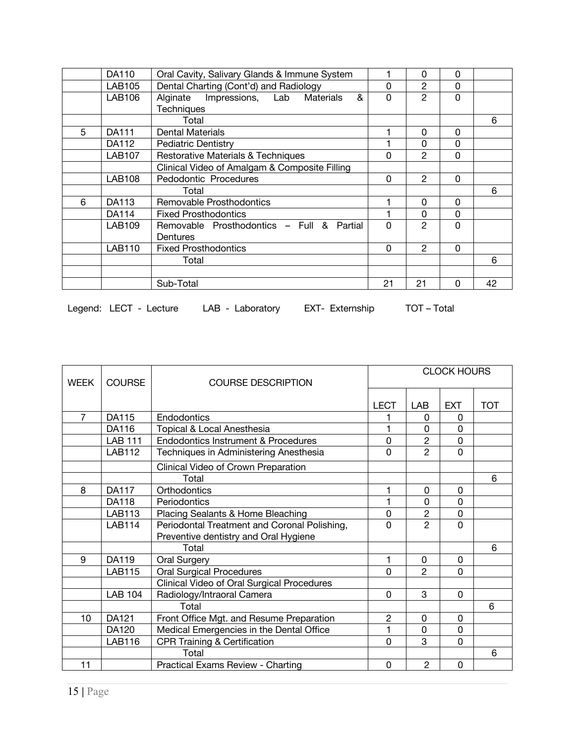|   | DA110         | Oral Cavity, Salivary Glands & Immune System  |    | 0              | 0           |    |
|---|---------------|-----------------------------------------------|----|----------------|-------------|----|
|   | <b>LAB105</b> | Dental Charting (Cont'd) and Radiology        | 0  | $\overline{2}$ | $\mathbf 0$ |    |
|   | <b>LAB106</b> | Alginate Impressions, Lab<br>&<br>Materials   | 0  | $\mathfrak{p}$ | $\mathbf 0$ |    |
|   |               | <b>Techniques</b>                             |    |                |             |    |
|   |               | Total                                         |    |                |             | 6  |
| 5 | DA111         | <b>Dental Materials</b>                       |    | 0              | 0           |    |
|   | DA112         | Pediatric Dentistry                           |    | 0              | 0           |    |
|   | <b>LAB107</b> | <b>Restorative Materials &amp; Techniques</b> | 0  | 2              | 0           |    |
|   |               | Clinical Video of Amalgam & Composite Filling |    |                |             |    |
|   | <b>LAB108</b> | Pedodontic Procedures                         | 0  | $\overline{2}$ | 0           |    |
|   |               | Total                                         |    |                |             | 6  |
| 6 | DA113         | Removable Prosthodontics                      |    | $\Omega$       | 0           |    |
|   | DA114         | <b>Fixed Prosthodontics</b>                   |    | 0              | 0           |    |
|   | <b>LAB109</b> | Removable Prosthodontics - Full & Partial     | 0  | $\mathcal{P}$  | 0           |    |
|   |               | Dentures                                      |    |                |             |    |
|   | <b>LAB110</b> | <b>Fixed Prosthodontics</b>                   | 0  | $\mathcal{P}$  | $\Omega$    |    |
|   |               | Total                                         |    |                |             | 6  |
|   |               |                                               |    |                |             |    |
|   |               | Sub-Total                                     | 21 | 21             | $\Omega$    | 42 |

Legend: LECT - Lecture LAB - Laboratory EXT- Externship TOT - Total

| <b>WEEK</b>    | <b>COURSE</b>  | <b>COURSE DESCRIPTION</b>                                                             | <b>CLOCK HOURS</b> |                |                |            |
|----------------|----------------|---------------------------------------------------------------------------------------|--------------------|----------------|----------------|------------|
|                |                |                                                                                       |                    |                |                |            |
|                |                |                                                                                       | <b>LECT</b>        | LAB            | <b>EXT</b>     | <b>TOT</b> |
| $\overline{7}$ | DA115          | Endodontics                                                                           |                    | 0              | 0              |            |
|                | DA116          | Topical & Local Anesthesia                                                            |                    | $\Omega$       | 0              |            |
|                | <b>LAB 111</b> | <b>Endodontics Instrument &amp; Procedures</b>                                        | 0                  | $\overline{2}$ | $\overline{0}$ |            |
|                | <b>LAB112</b>  | Techniques in Administering Anesthesia                                                | 0                  | $\overline{2}$ | 0              |            |
|                |                | Clinical Video of Crown Preparation                                                   |                    |                |                |            |
|                |                | Total                                                                                 |                    |                |                | 6          |
| 8              | <b>DA117</b>   | Orthodontics                                                                          | 1                  | 0              | 0              |            |
|                | <b>DA118</b>   | Periodontics                                                                          | 1                  | $\Omega$       | 0              |            |
|                | <b>LAB113</b>  | Placing Sealants & Home Bleaching                                                     | 0                  | $\overline{c}$ | 0              |            |
|                | <b>LAB114</b>  | Periodontal Treatment and Coronal Polishing,<br>Preventive dentistry and Oral Hygiene | 0                  | $\overline{2}$ | $\Omega$       |            |
|                |                | Total                                                                                 |                    |                |                | 6          |
| 9              | DA119          | <b>Oral Surgery</b>                                                                   | 1                  | 0              | 0              |            |
|                | <b>LAB115</b>  | <b>Oral Surgical Procedures</b>                                                       | 0                  | $\mathcal{P}$  | 0              |            |
|                |                | Clinical Video of Oral Surgical Procedures                                            |                    |                |                |            |
|                | <b>LAB 104</b> | Radiology/Intraoral Camera                                                            | 0                  | 3              | 0              |            |
|                |                | Total                                                                                 |                    |                |                | 6          |
| 10             | DA121          | Front Office Mgt. and Resume Preparation                                              | $\overline{2}$     | $\Omega$       | $\Omega$       |            |
|                | DA120          | Medical Emergencies in the Dental Office                                              | 1                  | 0              | 0              |            |
|                | <b>LAB116</b>  | <b>CPR Training &amp; Certification</b>                                               | 0                  | 3              | 0              |            |
|                |                | Total                                                                                 |                    |                |                | 6          |
| 11             |                | Practical Exams Review - Charting                                                     | 0                  | $\overline{2}$ | 0              |            |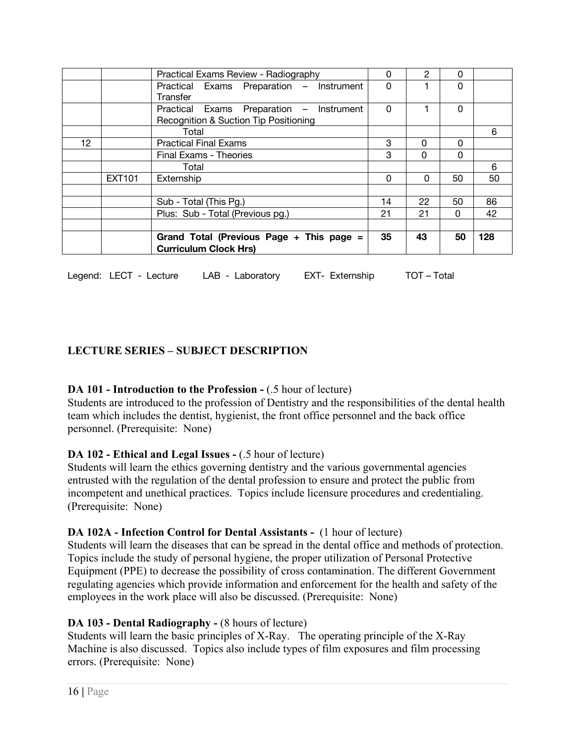|    |        | Practical Exams Review - Radiography                                              | 0  | 2  | 0        |     |
|----|--------|-----------------------------------------------------------------------------------|----|----|----------|-----|
|    |        | Practical Exams Preparation - Instrument<br>Transfer                              | 0  |    | 0        |     |
|    |        | Practical Exams Preparation - Instrument<br>Recognition & Suction Tip Positioning | 0  |    | 0        |     |
|    |        | Total                                                                             |    |    |          | 6   |
| 12 |        | <b>Practical Final Exams</b>                                                      | 3  | 0  | 0        |     |
|    |        | Final Exams - Theories                                                            | 3  | 0  | 0        |     |
|    |        | Total                                                                             |    |    |          | 6   |
|    | EXT101 | Externship                                                                        |    | 0  | 50       | 50  |
|    |        |                                                                                   |    |    |          |     |
|    |        | Sub - Total (This Pg.)                                                            | 14 | 22 | 50       | 86  |
|    |        | Plus: Sub - Total (Previous pg.)                                                  | 21 | 21 | $\Omega$ | 42  |
|    |        |                                                                                   |    |    |          |     |
|    |        | Grand Total (Previous Page + This page =<br><b>Curriculum Clock Hrs)</b>          | 35 | 43 | 50       | 128 |

Legend: LECT - Lecture LAB - Laboratory EXT- Externship TOT – Total

# **LECTURE SERIES – SUBJECT DESCRIPTION**

#### **DA 101 - Introduction to the Profession -** (.5 hour of lecture)

Students are introduced to the profession of Dentistry and the responsibilities of the dental health team which includes the dentist, hygienist, the front office personnel and the back office personnel. (Prerequisite: None)

#### **DA 102 - Ethical and Legal Issues -** (.5 hour of lecture)

Students will learn the ethics governing dentistry and the various governmental agencies entrusted with the regulation of the dental profession to ensure and protect the public from incompetent and unethical practices. Topics include licensure procedures and credentialing. (Prerequisite: None)

#### **DA 102A - Infection Control for Dental Assistants -** (1 hour of lecture)

Students will learn the diseases that can be spread in the dental office and methods of protection. Topics include the study of personal hygiene, the proper utilization of Personal Protective Equipment (PPE) to decrease the possibility of cross contamination. The different Government regulating agencies which provide information and enforcement for the health and safety of the employees in the work place will also be discussed. (Prerequisite: None)

#### **DA 103 - Dental Radiography -** (8 hours of lecture)

Students will learn the basic principles of X-Ray. The operating principle of the X-Ray Machine is also discussed. Topics also include types of film exposures and film processing errors. (Prerequisite: None)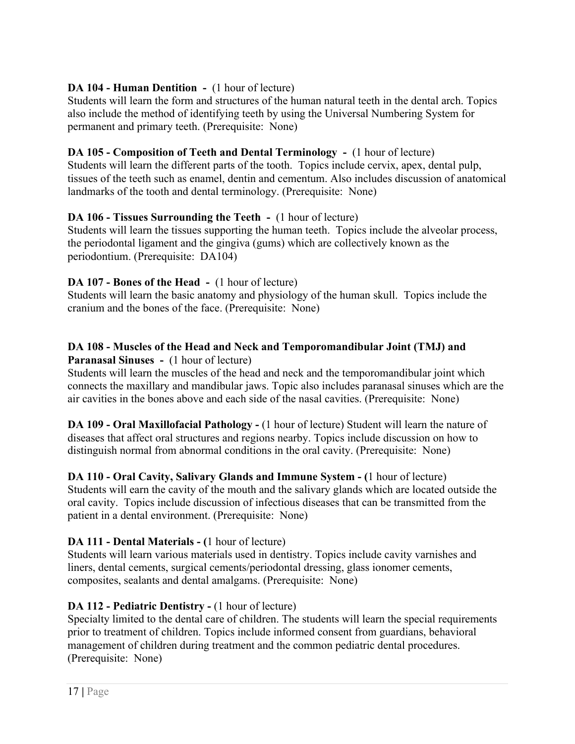# **DA 104 - Human Dentition -** (1 hour of lecture)

Students will learn the form and structures of the human natural teeth in the dental arch. Topics also include the method of identifying teeth by using the Universal Numbering System for permanent and primary teeth. (Prerequisite: None)

#### **DA 105 - Composition of Teeth and Dental Terminology -** (1 hour of lecture)

Students will learn the different parts of the tooth. Topics include cervix, apex, dental pulp, tissues of the teeth such as enamel, dentin and cementum. Also includes discussion of anatomical landmarks of the tooth and dental terminology. (Prerequisite: None)

#### **DA 106 - Tissues Surrounding the Teeth -** (1 hour of lecture)

Students will learn the tissues supporting the human teeth. Topics include the alveolar process, the periodontal ligament and the gingiva (gums) which are collectively known as the periodontium. (Prerequisite: DA104)

#### **DA 107 - Bones of the Head -** (1 hour of lecture)

Students will learn the basic anatomy and physiology of the human skull. Topics include the cranium and the bones of the face. (Prerequisite: None)

#### **DA 108 - Muscles of the Head and Neck and Temporomandibular Joint (TMJ) and Paranasal Sinuses -** (1 hour of lecture)

Students will learn the muscles of the head and neck and the temporomandibular joint which connects the maxillary and mandibular jaws. Topic also includes paranasal sinuses which are the air cavities in the bones above and each side of the nasal cavities. (Prerequisite: None)

**DA 109 - Oral Maxillofacial Pathology -** (1 hour of lecture) Student will learn the nature of diseases that affect oral structures and regions nearby. Topics include discussion on how to distinguish normal from abnormal conditions in the oral cavity. (Prerequisite: None)

**DA 110 - Oral Cavity, Salivary Glands and Immune System - (**1 hour of lecture) Students will earn the cavity of the mouth and the salivary glands which are located outside the oral cavity. Topics include discussion of infectious diseases that can be transmitted from the patient in a dental environment. (Prerequisite: None)

#### **DA 111 - Dental Materials - (**1 hour of lecture)

Students will learn various materials used in dentistry. Topics include cavity varnishes and liners, dental cements, surgical cements/periodontal dressing, glass ionomer cements, composites, sealants and dental amalgams. (Prerequisite: None)

# **DA 112 - Pediatric Dentistry -** (1 hour of lecture)

Specialty limited to the dental care of children. The students will learn the special requirements prior to treatment of children. Topics include informed consent from guardians, behavioral management of children during treatment and the common pediatric dental procedures. (Prerequisite: None)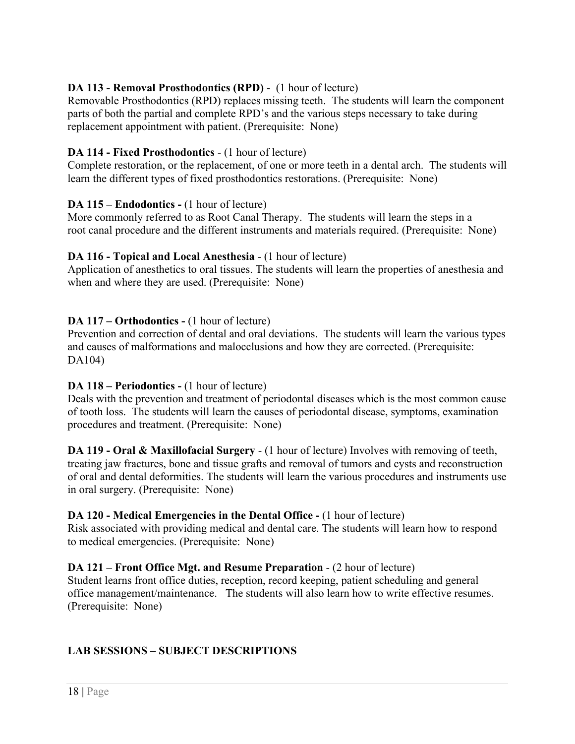# **DA 113 - Removal Prosthodontics (RPD)** - (1 hour of lecture)

Removable Prosthodontics (RPD) replaces missing teeth. The students will learn the component parts of both the partial and complete RPD's and the various steps necessary to take during replacement appointment with patient. (Prerequisite: None)

#### **DA 114 - Fixed Prosthodontics** - (1 hour of lecture)

Complete restoration, or the replacement, of one or more teeth in a dental arch. The students will learn the different types of fixed prosthodontics restorations. (Prerequisite: None)

#### **DA 115 – Endodontics -** (1 hour of lecture)

More commonly referred to as Root Canal Therapy. The students will learn the steps in a root canal procedure and the different instruments and materials required. (Prerequisite: None)

#### **DA 116 - Topical and Local Anesthesia** - (1 hour of lecture)

Application of anesthetics to oral tissues. The students will learn the properties of anesthesia and when and where they are used. (Prerequisite: None)

#### **DA 117 – Orthodontics -** (1 hour of lecture)

Prevention and correction of dental and oral deviations. The students will learn the various types and causes of malformations and malocclusions and how they are corrected. (Prerequisite: DA104)

#### **DA 118 – Periodontics -** (1 hour of lecture)

Deals with the prevention and treatment of periodontal diseases which is the most common cause of tooth loss. The students will learn the causes of periodontal disease, symptoms, examination procedures and treatment. (Prerequisite: None)

**DA 119 - Oral & Maxillofacial Surgery** - (1 hour of lecture) Involves with removing of teeth, treating jaw fractures, bone and tissue grafts and removal of tumors and cysts and reconstruction of oral and dental deformities. The students will learn the various procedures and instruments use in oral surgery. (Prerequisite: None)

#### **DA 120 - Medical Emergencies in the Dental Office -** (1 hour of lecture)

Risk associated with providing medical and dental care. The students will learn how to respond to medical emergencies. (Prerequisite: None)

#### **DA 121 – Front Office Mgt. and Resume Preparation** - (2 hour of lecture)

Student learns front office duties, reception, record keeping, patient scheduling and general office management/maintenance. The students will also learn how to write effective resumes. (Prerequisite: None)

# **LAB SESSIONS – SUBJECT DESCRIPTIONS**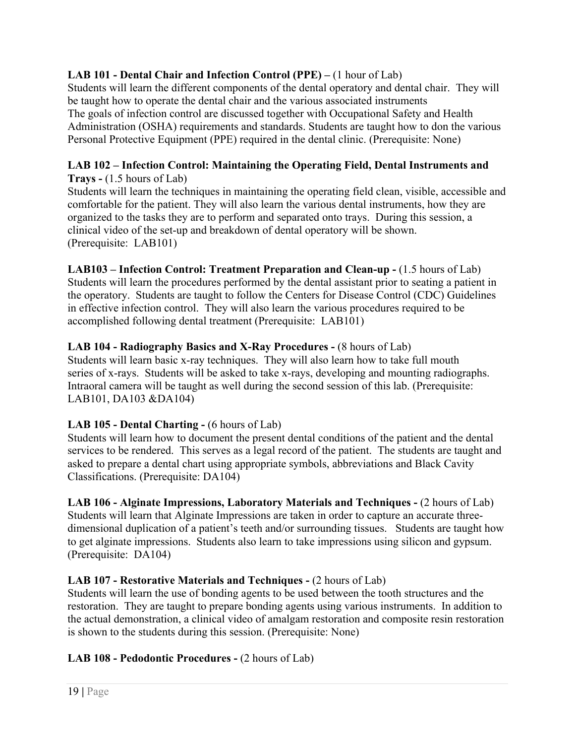# **LAB 101 - Dental Chair and Infection Control (PPE) –** (1 hour of Lab)

Students will learn the different components of the dental operatory and dental chair. They will be taught how to operate the dental chair and the various associated instruments The goals of infection control are discussed together with Occupational Safety and Health Administration (OSHA) requirements and standards. Students are taught how to don the various Personal Protective Equipment (PPE) required in the dental clinic. (Prerequisite: None)

#### **LAB 102 – Infection Control: Maintaining the Operating Field, Dental Instruments and Trays -** (1.5 hours of Lab)

Students will learn the techniques in maintaining the operating field clean, visible, accessible and comfortable for the patient. They will also learn the various dental instruments, how they are organized to the tasks they are to perform and separated onto trays. During this session, a clinical video of the set-up and breakdown of dental operatory will be shown. (Prerequisite: LAB101)

**LAB103 – Infection Control: Treatment Preparation and Clean-up -** (1.5 hours of Lab) Students will learn the procedures performed by the dental assistant prior to seating a patient in the operatory. Students are taught to follow the Centers for Disease Control (CDC) Guidelines in effective infection control. They will also learn the various procedures required to be accomplished following dental treatment (Prerequisite: LAB101)

# **LAB 104 - Radiography Basics and X-Ray Procedures -** (8 hours of Lab)

Students will learn basic x-ray techniques. They will also learn how to take full mouth series of x-rays. Students will be asked to take x-rays, developing and mounting radiographs. Intraoral camera will be taught as well during the second session of this lab. (Prerequisite: LAB101, DA103 &DA104)

#### **LAB 105 - Dental Charting -** (6 hours of Lab)

Students will learn how to document the present dental conditions of the patient and the dental services to be rendered. This serves as a legal record of the patient. The students are taught and asked to prepare a dental chart using appropriate symbols, abbreviations and Black Cavity Classifications. (Prerequisite: DA104)

**LAB 106 - Alginate Impressions, Laboratory Materials and Techniques -** (2 hours of Lab) Students will learn that Alginate Impressions are taken in order to capture an accurate threedimensional duplication of a patient's teeth and/or surrounding tissues. Students are taught how to get alginate impressions. Students also learn to take impressions using silicon and gypsum. (Prerequisite: DA104)

# **LAB 107 - Restorative Materials and Techniques -** (2 hours of Lab)

Students will learn the use of bonding agents to be used between the tooth structures and the restoration. They are taught to prepare bonding agents using various instruments. In addition to the actual demonstration, a clinical video of amalgam restoration and composite resin restoration is shown to the students during this session. (Prerequisite: None)

#### **LAB 108 - Pedodontic Procedures -** (2 hours of Lab)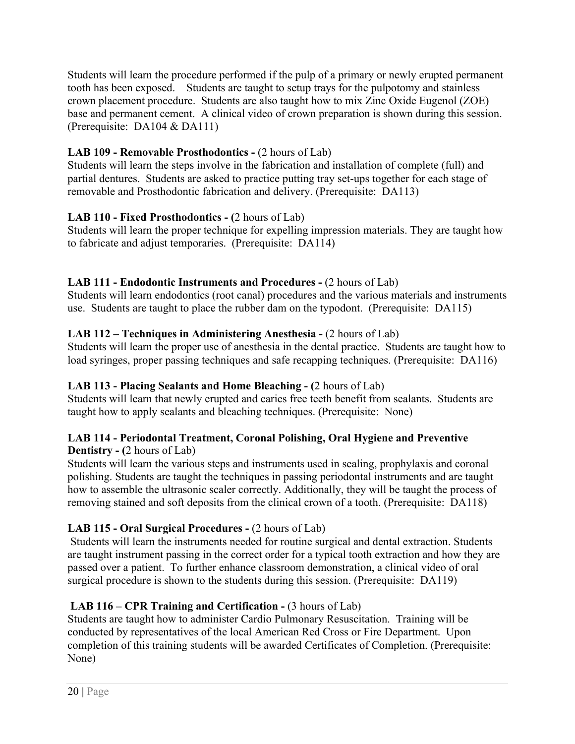Students will learn the procedure performed if the pulp of a primary or newly erupted permanent tooth has been exposed. Students are taught to setup trays for the pulpotomy and stainless crown placement procedure. Students are also taught how to mix Zinc Oxide Eugenol (ZOE) base and permanent cement. A clinical video of crown preparation is shown during this session. (Prerequisite: DA104 & DA111)

# **LAB 109 - Removable Prosthodontics -** (2 hours of Lab)

Students will learn the steps involve in the fabrication and installation of complete (full) and partial dentures. Students are asked to practice putting tray set-ups together for each stage of removable and Prosthodontic fabrication and delivery. (Prerequisite: DA113)

# **LAB 110 - Fixed Prosthodontics - (**2 hours of Lab)

Students will learn the proper technique for expelling impression materials. They are taught how to fabricate and adjust temporaries. (Prerequisite: DA114)

# **LAB 111 - Endodontic Instruments and Procedures -** (2 hours of Lab)

Students will learn endodontics (root canal) procedures and the various materials and instruments use. Students are taught to place the rubber dam on the typodont. (Prerequisite: DA115)

# **LAB 112 – Techniques in Administering Anesthesia -** (2 hours of Lab)

Students will learn the proper use of anesthesia in the dental practice. Students are taught how to load syringes, proper passing techniques and safe recapping techniques. (Prerequisite: DA116)

# **LAB 113 - Placing Sealants and Home Bleaching - (**2 hours of Lab)

Students will learn that newly erupted and caries free teeth benefit from sealants. Students are taught how to apply sealants and bleaching techniques. (Prerequisite: None)

#### **LAB 114 - Periodontal Treatment, Coronal Polishing, Oral Hygiene and Preventive Dentistry - (**2 hours of Lab)

Students will learn the various steps and instruments used in sealing, prophylaxis and coronal polishing. Students are taught the techniques in passing periodontal instruments and are taught how to assemble the ultrasonic scaler correctly. Additionally, they will be taught the process of removing stained and soft deposits from the clinical crown of a tooth. (Prerequisite: DA118)

# **LAB 115 - Oral Surgical Procedures -** (2 hours of Lab)

Students will learn the instruments needed for routine surgical and dental extraction. Students are taught instrument passing in the correct order for a typical tooth extraction and how they are passed over a patient. To further enhance classroom demonstration, a clinical video of oral surgical procedure is shown to the students during this session. (Prerequisite: DA119)

# **LAB 116 – CPR Training and Certification -** (3 hours of Lab)

Students are taught how to administer Cardio Pulmonary Resuscitation. Training will be conducted by representatives of the local American Red Cross or Fire Department. Upon completion of this training students will be awarded Certificates of Completion. (Prerequisite: None)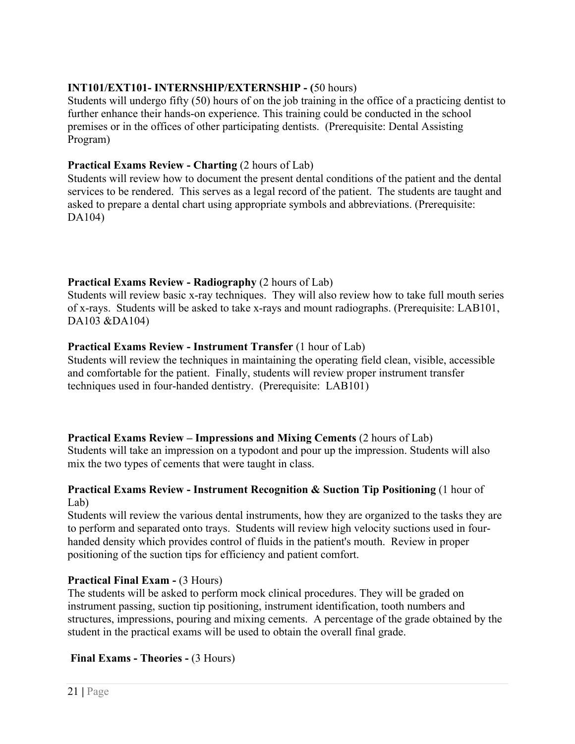# **INT101/EXT101- INTERNSHIP/EXTERNSHIP - (**50 hours)

Students will undergo fifty (50) hours of on the job training in the office of a practicing dentist to further enhance their hands-on experience. This training could be conducted in the school premises or in the offices of other participating dentists. (Prerequisite: Dental Assisting Program)

#### **Practical Exams Review - Charting** (2 hours of Lab)

Students will review how to document the present dental conditions of the patient and the dental services to be rendered. This serves as a legal record of the patient. The students are taught and asked to prepare a dental chart using appropriate symbols and abbreviations. (Prerequisite: DA104)

#### **Practical Exams Review - Radiography** (2 hours of Lab)

Students will review basic x-ray techniques. They will also review how to take full mouth series of x-rays. Students will be asked to take x-rays and mount radiographs. (Prerequisite: LAB101, DA103 &DA104)

#### **Practical Exams Review - Instrument Transfer** (1 hour of Lab)

Students will review the techniques in maintaining the operating field clean, visible, accessible and comfortable for the patient. Finally, students will review proper instrument transfer techniques used in four-handed dentistry. (Prerequisite: LAB101)

#### **Practical Exams Review – Impressions and Mixing Cements** (2 hours of Lab)

Students will take an impression on a typodont and pour up the impression. Students will also mix the two types of cements that were taught in class.

#### **Practical Exams Review - Instrument Recognition & Suction Tip Positioning** (1 hour of Lab)

Students will review the various dental instruments, how they are organized to the tasks they are to perform and separated onto trays. Students will review high velocity suctions used in fourhanded density which provides control of fluids in the patient's mouth. Review in proper positioning of the suction tips for efficiency and patient comfort.

#### **Practical Final Exam -** (3 Hours)

The students will be asked to perform mock clinical procedures. They will be graded on instrument passing, suction tip positioning, instrument identification, tooth numbers and structures, impressions, pouring and mixing cements. A percentage of the grade obtained by the student in the practical exams will be used to obtain the overall final grade.

#### **Final Exams - Theories -** (3 Hours)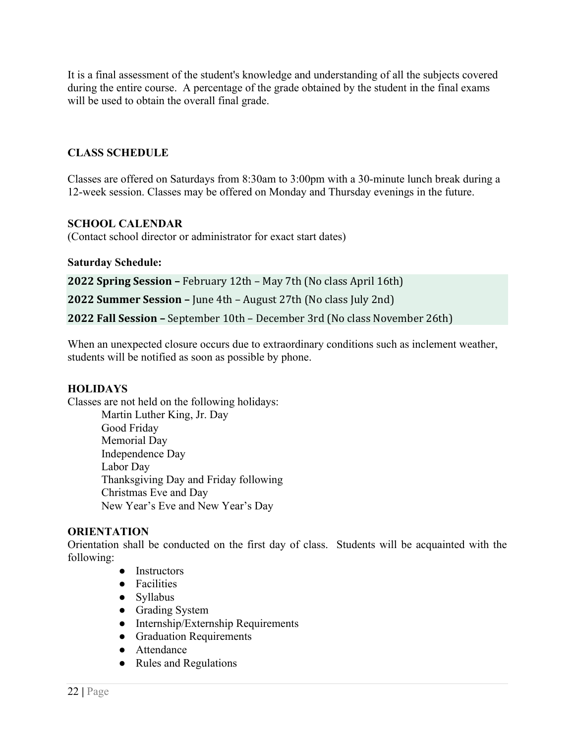It is a final assessment of the student's knowledge and understanding of all the subjects covered during the entire course. A percentage of the grade obtained by the student in the final exams will be used to obtain the overall final grade.

#### **CLASS SCHEDULE**

Classes are offered on Saturdays from 8:30am to 3:00pm with a 30-minute lunch break during a 12-week session. Classes may be offered on Monday and Thursday evenings in the future.

#### **SCHOOL CALENDAR**

(Contact school director or administrator for exact start dates)

#### **Saturday Schedule:**

**2022 Spring Session –** February 12th – May 7th (No class April 16th) **2022 Summer Session – June 4th – August 27th (No class July 2nd) 2022 Fall Session –** September 10th – December 3rd (No class November 26th)

When an unexpected closure occurs due to extraordinary conditions such as inclement weather, students will be notified as soon as possible by phone.

#### **HOLIDAYS**

Classes are not held on the following holidays: Martin Luther King, Jr. Day Good Friday Memorial Day Independence Day Labor Day Thanksgiving Day and Friday following Christmas Eve and Day New Year's Eve and New Year's Day

#### **ORIENTATION**

Orientation shall be conducted on the first day of class. Students will be acquainted with the following:

- Instructors
- Facilities
- Syllabus
- Grading System
- Internship/Externship Requirements
- **•** Graduation Requirements
- Attendance
- Rules and Regulations